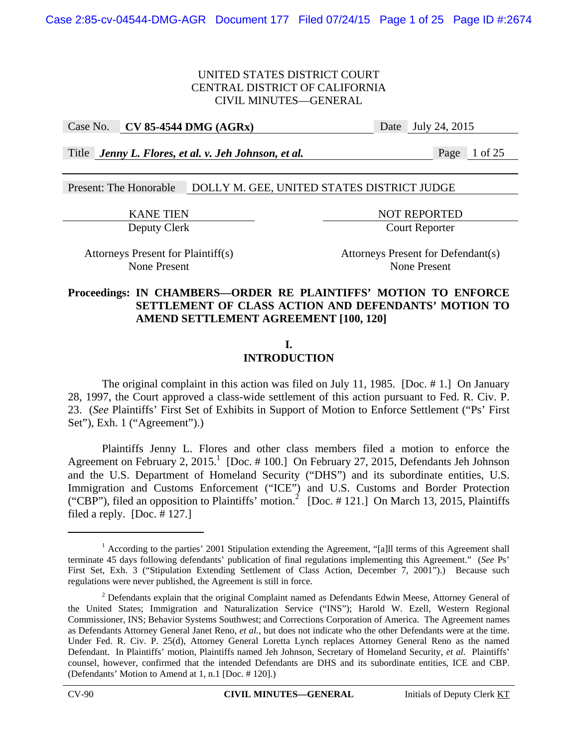#### Case No. **CV 85-4544 DMG (AGRx)** Date July 24, 2015

Title *Jenny L. Flores, et al. v. Jeh Johnson, et al.* Page 1 of 25

Present: The Honorable DOLLY M. GEE, UNITED STATES DISTRICT JUDGE

KANE TIEN NOT REPORTED

Deputy Clerk Court Reporter

Attorneys Present for Plaintiff(s) Attorneys Present for Defendant(s)

None Present None Present

## **Proceedings: IN CHAMBERS—ORDER RE PLAINTIFFS' MOTION TO ENFORCE SETTLEMENT OF CLASS ACTION AND DEFENDANTS' MOTION TO AMEND SETTLEMENT AGREEMENT [100, 120]**

# **I.**

# **INTRODUCTION**

 The original complaint in this action was filed on July 11, 1985. [Doc. # 1.] On January 28, 1997, the Court approved a class-wide settlement of this action pursuant to Fed. R. Civ. P. 23. (*See* Plaintiffs' First Set of Exhibits in Support of Motion to Enforce Settlement ("Ps' First Set"), Exh. 1 ("Agreement").)

 Plaintiffs Jenny L. Flores and other class members filed a motion to enforce the Agreement on February 2, 2015.<sup>1</sup> [Doc. #100.] On February 27, 2015, Defendants Jeh Johnson and the U.S. Department of Homeland Security ("DHS") and its subordinate entities, U.S. Immigration and Customs Enforcement ("ICE") and U.S. Customs and Border Protection ("CBP"), filed an opposition to Plaintiffs' motion.<sup>2</sup> [Doc. #121.] On March 13, 2015, Plaintiffs filed a reply. [Doc. # 127.]

 $\overline{a}$ 

<sup>&</sup>lt;sup>1</sup> According to the parties' 2001 Stipulation extending the Agreement, "[a]ll terms of this Agreement shall terminate 45 days following defendants' publication of final regulations implementing this Agreement." (*See* Ps' First Set, Exh. 3 ("Stipulation Extending Settlement of Class Action, December 7, 2001").) Because such regulations were never published, the Agreement is still in force.

 $2$  Defendants explain that the original Complaint named as Defendants Edwin Meese, Attorney General of the United States; Immigration and Naturalization Service ("INS"); Harold W. Ezell, Western Regional Commissioner, INS; Behavior Systems Southwest; and Corrections Corporation of America. The Agreement names as Defendants Attorney General Janet Reno, *et al.*, but does not indicate who the other Defendants were at the time. Under Fed. R. Civ. P. 25(d), Attorney General Loretta Lynch replaces Attorney General Reno as the named Defendant. In Plaintiffs' motion, Plaintiffs named Jeh Johnson, Secretary of Homeland Security, *et al.* Plaintiffs' counsel, however, confirmed that the intended Defendants are DHS and its subordinate entities, ICE and CBP. (Defendants' Motion to Amend at 1, n.1 [Doc. # 120].)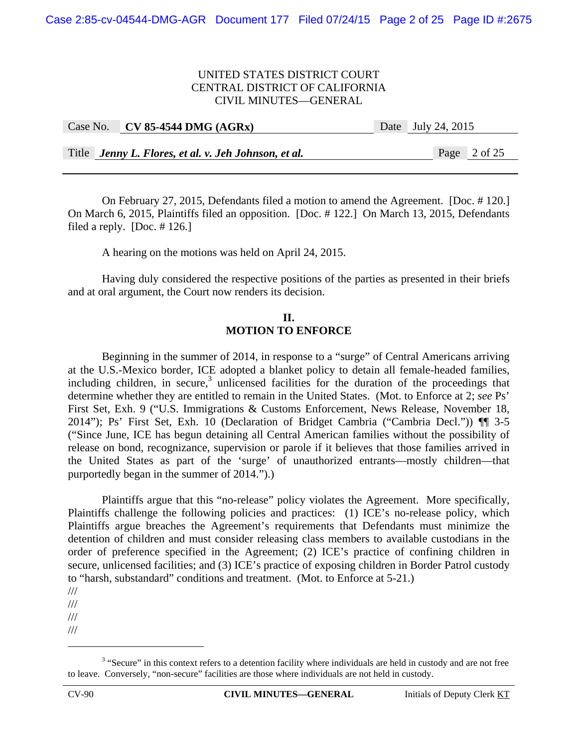| Case No. CV 85-4544 DMG $(AGRx)$                     | Date July 24, 2015 |                |
|------------------------------------------------------|--------------------|----------------|
|                                                      |                    |                |
| Title Jenny L. Flores, et al. v. Jeh Johnson, et al. |                    | Page $2$ of 25 |

 On February 27, 2015, Defendants filed a motion to amend the Agreement. [Doc. # 120.] On March 6, 2015, Plaintiffs filed an opposition. [Doc. # 122.] On March 13, 2015, Defendants filed a reply.  $[Doc. # 126.]$ 

A hearing on the motions was held on April 24, 2015.

 Having duly considered the respective positions of the parties as presented in their briefs and at oral argument, the Court now renders its decision.

### **II. MOTION TO ENFORCE**

 Beginning in the summer of 2014, in response to a "surge" of Central Americans arriving at the U.S.-Mexico border, ICE adopted a blanket policy to detain all female-headed families, including children, in secure, $3$  unlicensed facilities for the duration of the proceedings that determine whether they are entitled to remain in the United States. (Mot. to Enforce at 2; *see* Ps' First Set, Exh. 9 ("U.S. Immigrations & Customs Enforcement, News Release, November 18, 2014"); Ps' First Set, Exh. 10 (Declaration of Bridget Cambria ("Cambria Decl.")) ¶¶ 3-5 ("Since June, ICE has begun detaining all Central American families without the possibility of release on bond, recognizance, supervision or parole if it believes that those families arrived in the United States as part of the 'surge' of unauthorized entrants—mostly children—that purportedly began in the summer of 2014.").)

Plaintiffs argue that this "no-release" policy violates the Agreement. More specifically, Plaintiffs challenge the following policies and practices: (1) ICE's no-release policy, which Plaintiffs argue breaches the Agreement's requirements that Defendants must minimize the detention of children and must consider releasing class members to available custodians in the order of preference specified in the Agreement; (2) ICE's practice of confining children in secure, unlicensed facilities; and (3) ICE's practice of exposing children in Border Patrol custody to "harsh, substandard" conditions and treatment. (Mot. to Enforce at 5-21.)

///

/// 1

<sup>///</sup> 

<sup>///</sup> 

 $3$  "Secure" in this context refers to a detention facility where individuals are held in custody and are not free to leave. Conversely, "non-secure" facilities are those where individuals are not held in custody.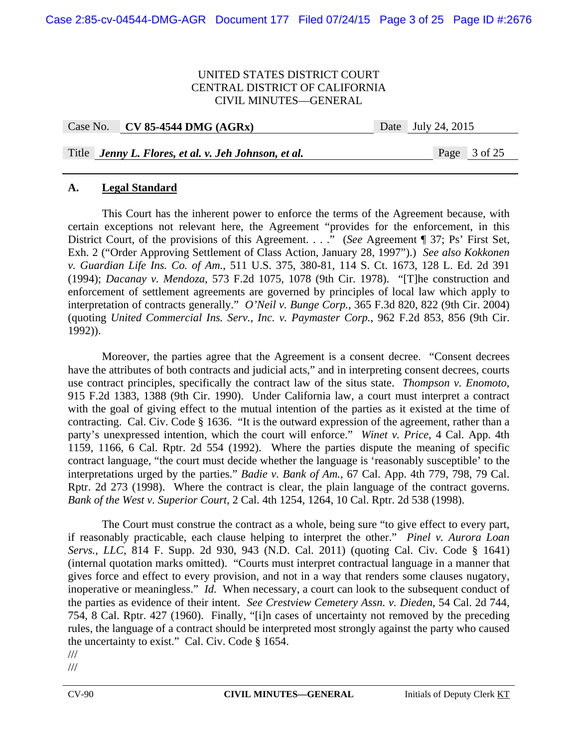| Case No. CV 85-4544 DMG $(AGRx)$ | Date | July 24, 2015 |
|----------------------------------|------|---------------|
|                                  |      |               |

## Title *Jenny L. Flores, et al. v. Jeh Johnson, et al.* Page 3 of 25

#### **A. Legal Standard**

 This Court has the inherent power to enforce the terms of the Agreement because, with certain exceptions not relevant here, the Agreement "provides for the enforcement, in this District Court, of the provisions of this Agreement. . . ." (*See* Agreement ¶ 37; Ps' First Set, Exh. 2 ("Order Approving Settlement of Class Action, January 28, 1997").) *See also Kokkonen v. Guardian Life Ins. Co. of Am.*, 511 U.S. 375, 380-81, 114 S. Ct. 1673, 128 L. Ed. 2d 391 (1994); *Dacanay v. Mendoza*, 573 F.2d 1075, 1078 (9th Cir. 1978). "[T]he construction and enforcement of settlement agreements are governed by principles of local law which apply to interpretation of contracts generally." *O'Neil v. Bunge Corp.*, 365 F.3d 820, 822 (9th Cir. 2004) (quoting *United Commercial Ins. Serv., Inc. v. Paymaster Corp.*, 962 F.2d 853, 856 (9th Cir. 1992)).

Moreover, the parties agree that the Agreement is a consent decree. "Consent decrees have the attributes of both contracts and judicial acts," and in interpreting consent decrees, courts use contract principles, specifically the contract law of the situs state. *Thompson v. Enomoto*, 915 F.2d 1383, 1388 (9th Cir. 1990). Under California law, a court must interpret a contract with the goal of giving effect to the mutual intention of the parties as it existed at the time of contracting. Cal. Civ. Code § 1636. "It is the outward expression of the agreement, rather than a party's unexpressed intention, which the court will enforce." *Winet v. Price*, 4 Cal. App. 4th 1159, 1166, 6 Cal. Rptr. 2d 554 (1992). Where the parties dispute the meaning of specific contract language, "the court must decide whether the language is 'reasonably susceptible' to the interpretations urged by the parties." *Badie v. Bank of Am.*, 67 Cal. App. 4th 779, 798, 79 Cal. Rptr. 2d 273 (1998). Where the contract is clear, the plain language of the contract governs. *Bank of the West v. Superior Court*, 2 Cal. 4th 1254, 1264, 10 Cal. Rptr. 2d 538 (1998).

The Court must construe the contract as a whole, being sure "to give effect to every part, if reasonably practicable, each clause helping to interpret the other." *Pinel v. Aurora Loan Servs., LLC*, 814 F. Supp. 2d 930, 943 (N.D. Cal. 2011) (quoting Cal. Civ. Code § 1641) (internal quotation marks omitted). "Courts must interpret contractual language in a manner that gives force and effect to every provision, and not in a way that renders some clauses nugatory, inoperative or meaningless." *Id.* When necessary, a court can look to the subsequent conduct of the parties as evidence of their intent. *See Crestview Cemetery Assn. v. Dieden*, 54 Cal. 2d 744, 754, 8 Cal. Rptr. 427 (1960). Finally, "[i]n cases of uncertainty not removed by the preceding rules, the language of a contract should be interpreted most strongly against the party who caused the uncertainty to exist." Cal. Civ. Code § 1654.

///

///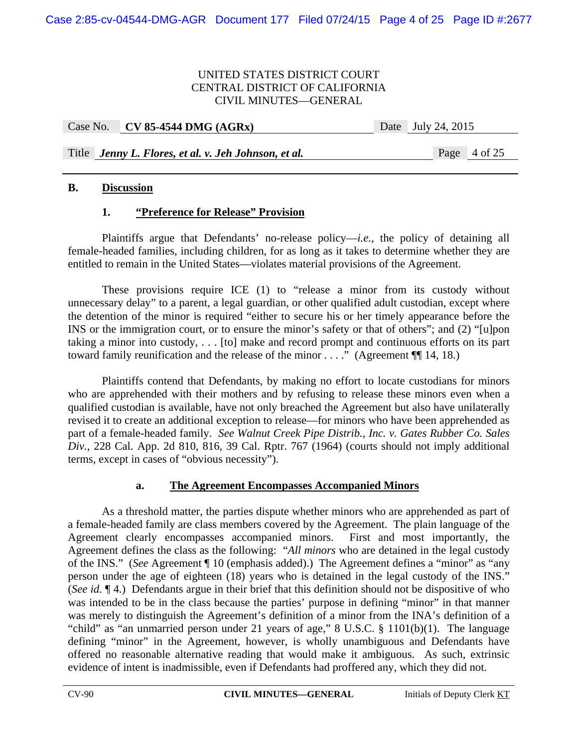| Case No. $\vert$ CV 85-4544 DMG (AGRx) | Date | July 24, 2015 |
|----------------------------------------|------|---------------|
|                                        |      |               |

Title *Jenny L. Flores, et al. v. Jeh Johnson, et al.* Page 4 of 25

### **B. Discussion**

## **1. "Preference for Release" Provision**

Plaintiffs argue that Defendants' no-release policy—*i.e.*, the policy of detaining all female-headed families, including children, for as long as it takes to determine whether they are entitled to remain in the United States—violates material provisions of the Agreement.

These provisions require ICE (1) to "release a minor from its custody without unnecessary delay" to a parent, a legal guardian, or other qualified adult custodian, except where the detention of the minor is required "either to secure his or her timely appearance before the INS or the immigration court, or to ensure the minor's safety or that of others"; and (2) "[u]pon taking a minor into custody, . . . [to] make and record prompt and continuous efforts on its part toward family reunification and the release of the minor  $\dots$ ." (Agreement  $\P$  14, 18.)

Plaintiffs contend that Defendants, by making no effort to locate custodians for minors who are apprehended with their mothers and by refusing to release these minors even when a qualified custodian is available, have not only breached the Agreement but also have unilaterally revised it to create an additional exception to release—for minors who have been apprehended as part of a female-headed family. *See Walnut Creek Pipe Distrib., Inc. v. Gates Rubber Co. Sales Div.*, 228 Cal. App. 2d 810, 816, 39 Cal. Rptr. 767 (1964) (courts should not imply additional terms, except in cases of "obvious necessity").

## **a. The Agreement Encompasses Accompanied Minors**

As a threshold matter, the parties dispute whether minors who are apprehended as part of a female-headed family are class members covered by the Agreement. The plain language of the Agreement clearly encompasses accompanied minors. First and most importantly, the Agreement defines the class as the following: "*All minors* who are detained in the legal custody of the INS." (*See* Agreement ¶ 10 (emphasis added).) The Agreement defines a "minor" as "any person under the age of eighteen (18) years who is detained in the legal custody of the INS." (*See id.* ¶ 4.) Defendants argue in their brief that this definition should not be dispositive of who was intended to be in the class because the parties' purpose in defining "minor" in that manner was merely to distinguish the Agreement's definition of a minor from the INA's definition of a "child" as "an unmarried person under 21 years of age," 8 U.S.C. § 1101(b)(1). The language defining "minor" in the Agreement, however, is wholly unambiguous and Defendants have offered no reasonable alternative reading that would make it ambiguous. As such, extrinsic evidence of intent is inadmissible, even if Defendants had proffered any, which they did not.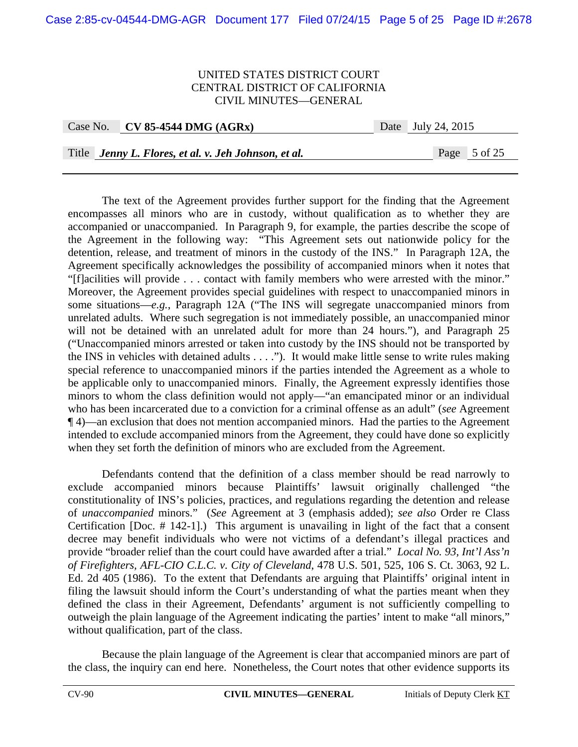| Case No. CV 85-4544 DMG $(AGRx)$                     | Date July 24, 2015 |
|------------------------------------------------------|--------------------|
|                                                      |                    |
| Title Jenny L. Flores, et al. v. Jeh Johnson, et al. | Page 5 of 25       |

The text of the Agreement provides further support for the finding that the Agreement encompasses all minors who are in custody, without qualification as to whether they are accompanied or unaccompanied. In Paragraph 9, for example, the parties describe the scope of the Agreement in the following way: "This Agreement sets out nationwide policy for the detention, release, and treatment of minors in the custody of the INS." In Paragraph 12A, the Agreement specifically acknowledges the possibility of accompanied minors when it notes that "[f]acilities will provide . . . contact with family members who were arrested with the minor." Moreover, the Agreement provides special guidelines with respect to unaccompanied minors in some situations—*e.g.*, Paragraph 12A ("The INS will segregate unaccompanied minors from unrelated adults. Where such segregation is not immediately possible, an unaccompanied minor will not be detained with an unrelated adult for more than 24 hours."), and Paragraph 25 ("Unaccompanied minors arrested or taken into custody by the INS should not be transported by the INS in vehicles with detained adults . . . ."). It would make little sense to write rules making special reference to unaccompanied minors if the parties intended the Agreement as a whole to be applicable only to unaccompanied minors. Finally, the Agreement expressly identifies those minors to whom the class definition would not apply—"an emancipated minor or an individual who has been incarcerated due to a conviction for a criminal offense as an adult" (*see* Agreement ¶ 4)—an exclusion that does not mention accompanied minors. Had the parties to the Agreement intended to exclude accompanied minors from the Agreement, they could have done so explicitly when they set forth the definition of minors who are excluded from the Agreement.

Defendants contend that the definition of a class member should be read narrowly to exclude accompanied minors because Plaintiffs' lawsuit originally challenged "the constitutionality of INS's policies, practices, and regulations regarding the detention and release of *unaccompanied* minors." (*See* Agreement at 3 (emphasis added); *see also* Order re Class Certification [Doc. # 142-1].) This argument is unavailing in light of the fact that a consent decree may benefit individuals who were not victims of a defendant's illegal practices and provide "broader relief than the court could have awarded after a trial." *Local No. 93, Int'l Ass'n of Firefighters, AFL-CIO C.L.C. v. City of Cleveland*, 478 U.S. 501, 525, 106 S. Ct. 3063, 92 L. Ed. 2d 405 (1986). To the extent that Defendants are arguing that Plaintiffs' original intent in filing the lawsuit should inform the Court's understanding of what the parties meant when they defined the class in their Agreement, Defendants' argument is not sufficiently compelling to outweigh the plain language of the Agreement indicating the parties' intent to make "all minors," without qualification, part of the class.

Because the plain language of the Agreement is clear that accompanied minors are part of the class, the inquiry can end here. Nonetheless, the Court notes that other evidence supports its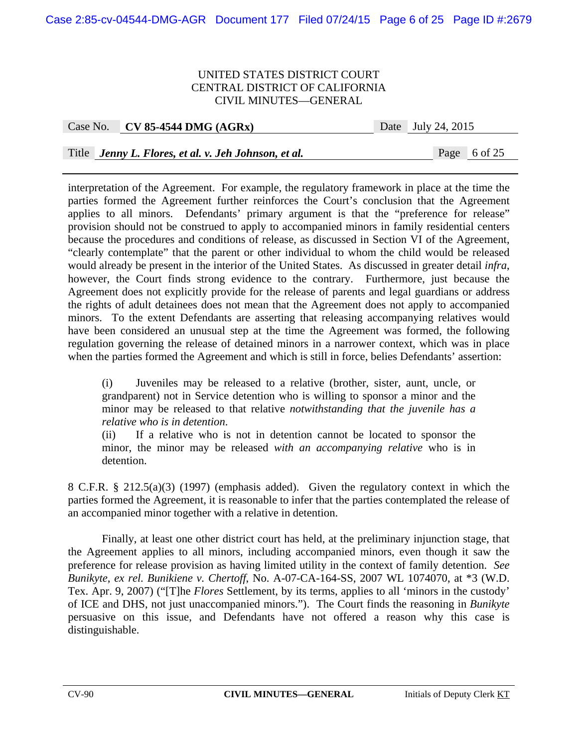| -------- |                                                      | ------- |  |              |
|----------|------------------------------------------------------|---------|--|--------------|
|          |                                                      |         |  |              |
|          |                                                      |         |  |              |
|          |                                                      |         |  |              |
|          | Title Jenny L. Flores, et al. v. Jeh Johnson, et al. |         |  | Page 6 of 25 |
|          |                                                      |         |  |              |

Case No. **CV 85-4544 DMG (AGRx)** Date July 24, 2015

interpretation of the Agreement. For example, the regulatory framework in place at the time the parties formed the Agreement further reinforces the Court's conclusion that the Agreement applies to all minors. Defendants' primary argument is that the "preference for release" provision should not be construed to apply to accompanied minors in family residential centers because the procedures and conditions of release, as discussed in Section VI of the Agreement, "clearly contemplate" that the parent or other individual to whom the child would be released would already be present in the interior of the United States. As discussed in greater detail *infra*, however, the Court finds strong evidence to the contrary. Furthermore, just because the Agreement does not explicitly provide for the release of parents and legal guardians or address the rights of adult detainees does not mean that the Agreement does not apply to accompanied minors. To the extent Defendants are asserting that releasing accompanying relatives would have been considered an unusual step at the time the Agreement was formed, the following regulation governing the release of detained minors in a narrower context, which was in place when the parties formed the Agreement and which is still in force, belies Defendants' assertion:

(i) Juveniles may be released to a relative (brother, sister, aunt, uncle, or grandparent) not in Service detention who is willing to sponsor a minor and the minor may be released to that relative *notwithstanding that the juvenile has a relative who is in detention*.

(ii) If a relative who is not in detention cannot be located to sponsor the minor, the minor may be released *with an accompanying relative* who is in detention.

8 C.F.R. § 212.5(a)(3) (1997) (emphasis added). Given the regulatory context in which the parties formed the Agreement, it is reasonable to infer that the parties contemplated the release of an accompanied minor together with a relative in detention.

 Finally, at least one other district court has held, at the preliminary injunction stage, that the Agreement applies to all minors, including accompanied minors, even though it saw the preference for release provision as having limited utility in the context of family detention. *See Bunikyte, ex rel. Bunikiene v. Chertoff*, No. A-07-CA-164-SS, 2007 WL 1074070, at \*3 (W.D. Tex. Apr. 9, 2007) ("[T]he *Flores* Settlement, by its terms, applies to all 'minors in the custody' of ICE and DHS, not just unaccompanied minors."). The Court finds the reasoning in *Bunikyte* persuasive on this issue, and Defendants have not offered a reason why this case is distinguishable.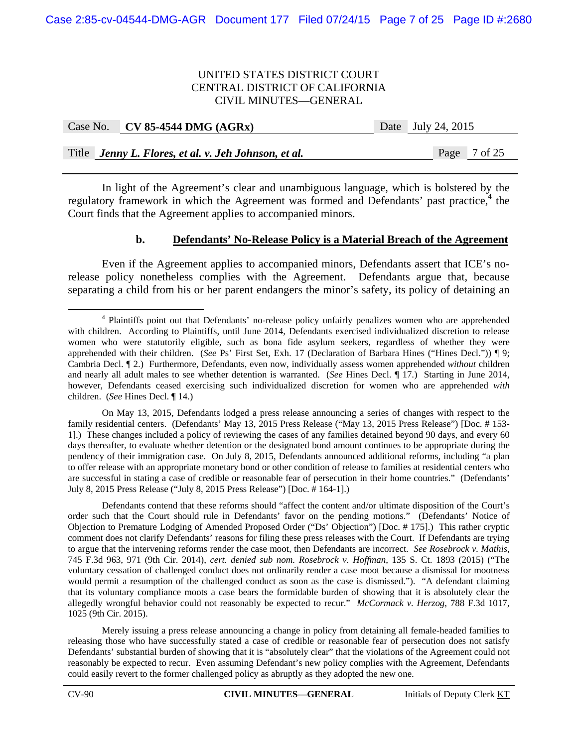| Case No. $\vert$ CV 85-4544 DMG (AGRx)               | Date July 24, 2015 |
|------------------------------------------------------|--------------------|
|                                                      |                    |
| Title Jenny L. Flores, et al. v. Jeh Johnson, et al. | Page 7 of 25       |

In light of the Agreement's clear and unambiguous language, which is bolstered by the regulatory framework in which the Agreement was formed and Defendants' past practice,<sup>4</sup> the Court finds that the Agreement applies to accompanied minors.

#### **b. Defendants' No-Release Policy is a Material Breach of the Agreement**

Even if the Agreement applies to accompanied minors, Defendants assert that ICE's norelease policy nonetheless complies with the Agreement. Defendants argue that, because separating a child from his or her parent endangers the minor's safety, its policy of detaining an

On May 13, 2015, Defendants lodged a press release announcing a series of changes with respect to the family residential centers. (Defendants' May 13, 2015 Press Release ("May 13, 2015 Press Release") [Doc. #153-1].) These changes included a policy of reviewing the cases of any families detained beyond 90 days, and every 60 days thereafter, to evaluate whether detention or the designated bond amount continues to be appropriate during the pendency of their immigration case. On July 8, 2015, Defendants announced additional reforms, including "a plan to offer release with an appropriate monetary bond or other condition of release to families at residential centers who are successful in stating a case of credible or reasonable fear of persecution in their home countries." (Defendants' July 8, 2015 Press Release ("July 8, 2015 Press Release") [Doc. # 164-1].)

Defendants contend that these reforms should "affect the content and/or ultimate disposition of the Court's order such that the Court should rule in Defendants' favor on the pending motions." (Defendants' Notice of Objection to Premature Lodging of Amended Proposed Order ("Ds' Objection") [Doc. # 175].) This rather cryptic comment does not clarify Defendants' reasons for filing these press releases with the Court. If Defendants are trying to argue that the intervening reforms render the case moot, then Defendants are incorrect. *See Rosebrock v. Mathis*, 745 F.3d 963, 971 (9th Cir. 2014), *cert. denied sub nom. Rosebrock v. Hoffman*, 135 S. Ct. 1893 (2015) ("The voluntary cessation of challenged conduct does not ordinarily render a case moot because a dismissal for mootness would permit a resumption of the challenged conduct as soon as the case is dismissed."). "A defendant claiming that its voluntary compliance moots a case bears the formidable burden of showing that it is absolutely clear the allegedly wrongful behavior could not reasonably be expected to recur." *McCormack v. Herzog*, 788 F.3d 1017, 1025 (9th Cir. 2015).

Merely issuing a press release announcing a change in policy from detaining all female-headed families to releasing those who have successfully stated a case of credible or reasonable fear of persecution does not satisfy Defendants' substantial burden of showing that it is "absolutely clear" that the violations of the Agreement could not reasonably be expected to recur. Even assuming Defendant's new policy complies with the Agreement, Defendants could easily revert to the former challenged policy as abruptly as they adopted the new one.

 $\frac{1}{4}$ <sup>4</sup> Plaintiffs point out that Defendants' no-release policy unfairly penalizes women who are apprehended with children. According to Plaintiffs, until June 2014, Defendants exercised individualized discretion to release women who were statutorily eligible, such as bona fide asylum seekers, regardless of whether they were apprehended with their children. (*See* Ps' First Set, Exh. 17 (Declaration of Barbara Hines ("Hines Decl.")) ¶ 9; Cambria Decl. ¶ 2.) Furthermore, Defendants, even now, individually assess women apprehended *without* children and nearly all adult males to see whether detention is warranted. (*See* Hines Decl. ¶ 17.) Starting in June 2014, however, Defendants ceased exercising such individualized discretion for women who are apprehended *with* children. (*See* Hines Decl. ¶ 14.)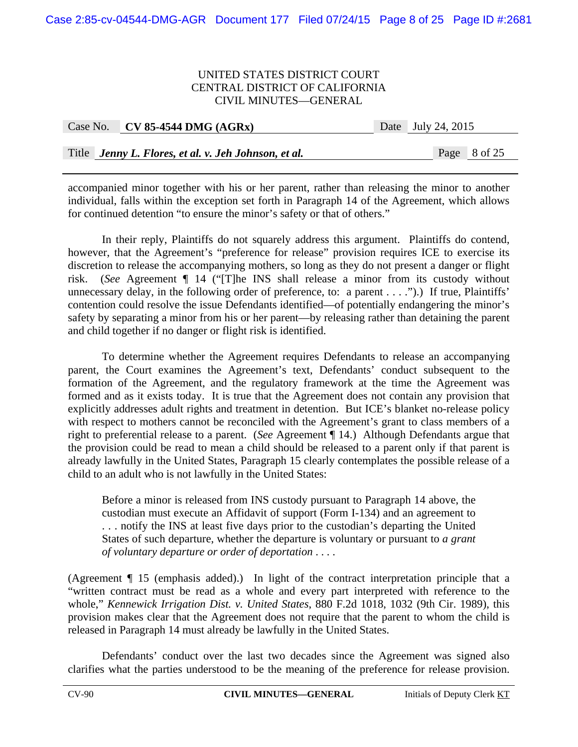| Case No. CV 85-4544 DMG $(AGRx)$                     | Date July 24, 2015 |
|------------------------------------------------------|--------------------|
|                                                      |                    |
| Title Jenny L. Flores, et al. v. Jeh Johnson, et al. | Page 8 of 25       |

accompanied minor together with his or her parent, rather than releasing the minor to another individual, falls within the exception set forth in Paragraph 14 of the Agreement, which allows for continued detention "to ensure the minor's safety or that of others."

In their reply, Plaintiffs do not squarely address this argument. Plaintiffs do contend, however, that the Agreement's "preference for release" provision requires ICE to exercise its discretion to release the accompanying mothers, so long as they do not present a danger or flight risk. (*See* Agreement ¶ 14 ("[T]he INS shall release a minor from its custody without unnecessary delay, in the following order of preference, to: a parent . . . .").) If true, Plaintiffs' contention could resolve the issue Defendants identified—of potentially endangering the minor's safety by separating a minor from his or her parent—by releasing rather than detaining the parent and child together if no danger or flight risk is identified.

To determine whether the Agreement requires Defendants to release an accompanying parent, the Court examines the Agreement's text, Defendants' conduct subsequent to the formation of the Agreement, and the regulatory framework at the time the Agreement was formed and as it exists today. It is true that the Agreement does not contain any provision that explicitly addresses adult rights and treatment in detention. But ICE's blanket no-release policy with respect to mothers cannot be reconciled with the Agreement's grant to class members of a right to preferential release to a parent. (*See* Agreement ¶ 14.) Although Defendants argue that the provision could be read to mean a child should be released to a parent only if that parent is already lawfully in the United States, Paragraph 15 clearly contemplates the possible release of a child to an adult who is not lawfully in the United States:

Before a minor is released from INS custody pursuant to Paragraph 14 above, the custodian must execute an Affidavit of support (Form I-134) and an agreement to . . . notify the INS at least five days prior to the custodian's departing the United States of such departure, whether the departure is voluntary or pursuant to *a grant of voluntary departure or order of deportation* . . . .

(Agreement ¶ 15 (emphasis added).) In light of the contract interpretation principle that a "written contract must be read as a whole and every part interpreted with reference to the whole," *Kennewick Irrigation Dist. v. United States*, 880 F.2d 1018, 1032 (9th Cir. 1989), this provision makes clear that the Agreement does not require that the parent to whom the child is released in Paragraph 14 must already be lawfully in the United States.

 Defendants' conduct over the last two decades since the Agreement was signed also clarifies what the parties understood to be the meaning of the preference for release provision.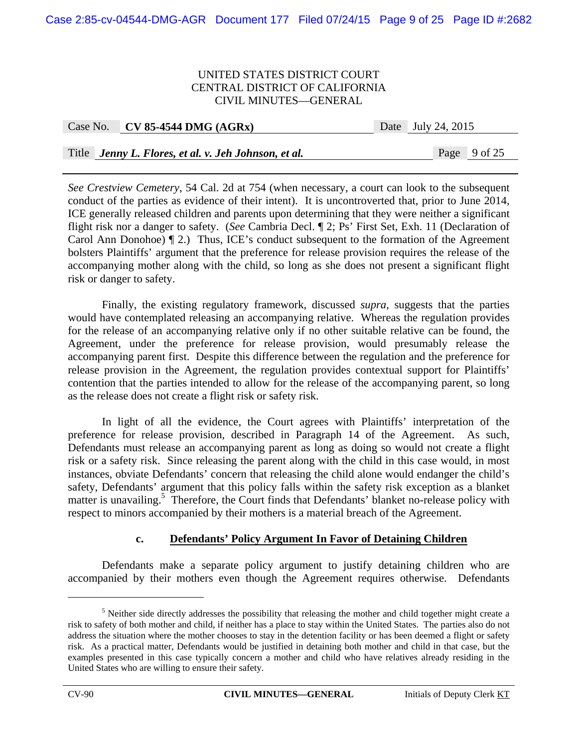| Case No. CV 85-4544 DMG $(AGRx)$                     | Date July 24, 2015 |
|------------------------------------------------------|--------------------|
|                                                      |                    |
| Title Jenny L. Flores, et al. v. Jeh Johnson, et al. | Page 9 of 25       |

*See Crestview Cemetery*, 54 Cal. 2d at 754 (when necessary, a court can look to the subsequent conduct of the parties as evidence of their intent). It is uncontroverted that, prior to June 2014, ICE generally released children and parents upon determining that they were neither a significant flight risk nor a danger to safety. (*See* Cambria Decl. ¶ 2; Ps' First Set, Exh. 11 (Declaration of Carol Ann Donohoe) ¶ 2.) Thus, ICE's conduct subsequent to the formation of the Agreement bolsters Plaintiffs' argument that the preference for release provision requires the release of the accompanying mother along with the child, so long as she does not present a significant flight risk or danger to safety.

 Finally, the existing regulatory framework, discussed *supra*, suggests that the parties would have contemplated releasing an accompanying relative. Whereas the regulation provides for the release of an accompanying relative only if no other suitable relative can be found, the Agreement, under the preference for release provision, would presumably release the accompanying parent first. Despite this difference between the regulation and the preference for release provision in the Agreement, the regulation provides contextual support for Plaintiffs' contention that the parties intended to allow for the release of the accompanying parent, so long as the release does not create a flight risk or safety risk.

In light of all the evidence, the Court agrees with Plaintiffs' interpretation of the preference for release provision, described in Paragraph 14 of the Agreement. As such, Defendants must release an accompanying parent as long as doing so would not create a flight risk or a safety risk. Since releasing the parent along with the child in this case would, in most instances, obviate Defendants' concern that releasing the child alone would endanger the child's safety, Defendants' argument that this policy falls within the safety risk exception as a blanket matter is unavailing.<sup>5</sup> Therefore, the Court finds that Defendants' blanket no-release policy with respect to minors accompanied by their mothers is a material breach of the Agreement.

## **c. Defendants' Policy Argument In Favor of Detaining Children**

Defendants make a separate policy argument to justify detaining children who are accompanied by their mothers even though the Agreement requires otherwise. Defendants

 $\overline{a}$ 

<sup>&</sup>lt;sup>5</sup> Neither side directly addresses the possibility that releasing the mother and child together might create a risk to safety of both mother and child, if neither has a place to stay within the United States. The parties also do not address the situation where the mother chooses to stay in the detention facility or has been deemed a flight or safety risk. As a practical matter, Defendants would be justified in detaining both mother and child in that case, but the examples presented in this case typically concern a mother and child who have relatives already residing in the United States who are willing to ensure their safety.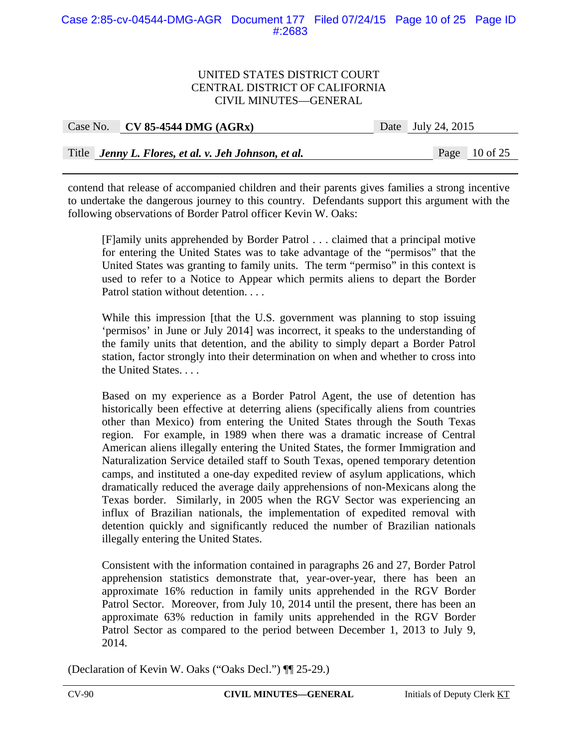## Case 2:85-cv-04544-DMG-AGR Document 177 Filed 07/24/15 Page 10 of 25 Page ID #:2683

#### UNITED STATES DISTRICT COURT CENTRAL DISTRICT OF CALIFORNIA CIVIL MINUTES—GENERAL

| Case No. CV 85-4544 DMG $(AGRx)$                     | Date July 24, 2015 |                 |
|------------------------------------------------------|--------------------|-----------------|
|                                                      |                    |                 |
| Title Jenny L. Flores, et al. v. Jeh Johnson, et al. |                    | Page $10$ of 25 |

contend that release of accompanied children and their parents gives families a strong incentive to undertake the dangerous journey to this country. Defendants support this argument with the following observations of Border Patrol officer Kevin W. Oaks:

[F]amily units apprehended by Border Patrol . . . claimed that a principal motive for entering the United States was to take advantage of the "permisos" that the United States was granting to family units. The term "permiso" in this context is used to refer to a Notice to Appear which permits aliens to depart the Border Patrol station without detention. . . .

While this impression [that the U.S. government was planning to stop issuing 'permisos' in June or July 2014] was incorrect, it speaks to the understanding of the family units that detention, and the ability to simply depart a Border Patrol station, factor strongly into their determination on when and whether to cross into the United States. . . .

Based on my experience as a Border Patrol Agent, the use of detention has historically been effective at deterring aliens (specifically aliens from countries other than Mexico) from entering the United States through the South Texas region. For example, in 1989 when there was a dramatic increase of Central American aliens illegally entering the United States, the former Immigration and Naturalization Service detailed staff to South Texas, opened temporary detention camps, and instituted a one-day expedited review of asylum applications, which dramatically reduced the average daily apprehensions of non-Mexicans along the Texas border. Similarly, in 2005 when the RGV Sector was experiencing an influx of Brazilian nationals, the implementation of expedited removal with detention quickly and significantly reduced the number of Brazilian nationals illegally entering the United States.

Consistent with the information contained in paragraphs 26 and 27, Border Patrol apprehension statistics demonstrate that, year-over-year, there has been an approximate 16% reduction in family units apprehended in the RGV Border Patrol Sector. Moreover, from July 10, 2014 until the present, there has been an approximate 63% reduction in family units apprehended in the RGV Border Patrol Sector as compared to the period between December 1, 2013 to July 9, 2014.

(Declaration of Kevin W. Oaks ("Oaks Decl.") ¶¶ 25-29.)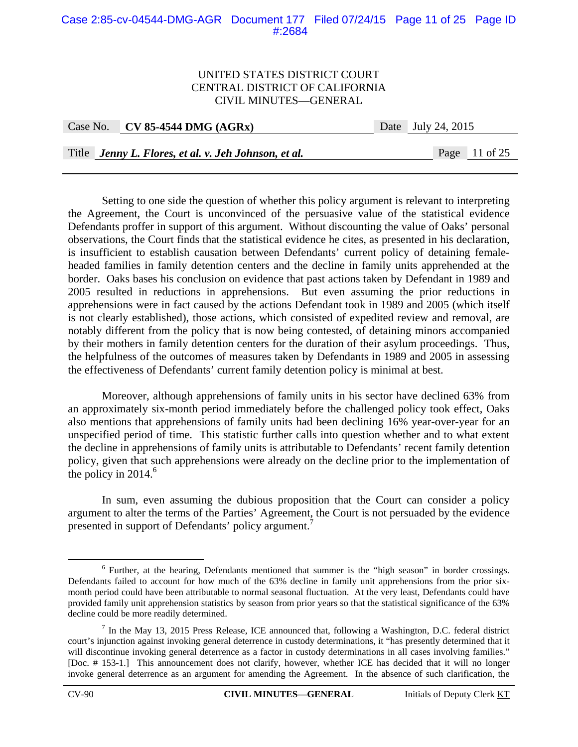#### Case 2:85-cv-04544-DMG-AGR Document 177 Filed 07/24/15 Page 11 of 25 Page ID #:2684

#### UNITED STATES DISTRICT COURT CENTRAL DISTRICT OF CALIFORNIA CIVIL MINUTES—GENERAL

| Case No. CV 85-4544 DMG $(AGRx)$ | Date July 24, 2015 |  |
|----------------------------------|--------------------|--|
|                                  |                    |  |

Title *Jenny L. Flores, et al. v. Jeh Johnson, et al.* Page 11 of 25

 Setting to one side the question of whether this policy argument is relevant to interpreting the Agreement, the Court is unconvinced of the persuasive value of the statistical evidence Defendants proffer in support of this argument. Without discounting the value of Oaks' personal observations, the Court finds that the statistical evidence he cites, as presented in his declaration, is insufficient to establish causation between Defendants' current policy of detaining femaleheaded families in family detention centers and the decline in family units apprehended at the border. Oaks bases his conclusion on evidence that past actions taken by Defendant in 1989 and 2005 resulted in reductions in apprehensions. But even assuming the prior reductions in apprehensions were in fact caused by the actions Defendant took in 1989 and 2005 (which itself is not clearly established), those actions, which consisted of expedited review and removal, are notably different from the policy that is now being contested, of detaining minors accompanied by their mothers in family detention centers for the duration of their asylum proceedings. Thus, the helpfulness of the outcomes of measures taken by Defendants in 1989 and 2005 in assessing the effectiveness of Defendants' current family detention policy is minimal at best.

Moreover, although apprehensions of family units in his sector have declined 63% from an approximately six-month period immediately before the challenged policy took effect, Oaks also mentions that apprehensions of family units had been declining 16% year-over-year for an unspecified period of time. This statistic further calls into question whether and to what extent the decline in apprehensions of family units is attributable to Defendants' recent family detention policy, given that such apprehensions were already on the decline prior to the implementation of the policy in  $2014<sup>6</sup>$ 

In sum, even assuming the dubious proposition that the Court can consider a policy argument to alter the terms of the Parties' Agreement, the Court is not persuaded by the evidence presented in support of Defendants' policy argument.<sup>7</sup>

 <sup>6</sup>  $6$  Further, at the hearing, Defendants mentioned that summer is the "high season" in border crossings. Defendants failed to account for how much of the 63% decline in family unit apprehensions from the prior sixmonth period could have been attributable to normal seasonal fluctuation. At the very least, Defendants could have provided family unit apprehension statistics by season from prior years so that the statistical significance of the 63% decline could be more readily determined.

 $<sup>7</sup>$  In the May 13, 2015 Press Release, ICE announced that, following a Washington, D.C. federal district</sup> court's injunction against invoking general deterrence in custody determinations, it "has presently determined that it will discontinue invoking general deterrence as a factor in custody determinations in all cases involving families." [Doc. # 153-1.] This announcement does not clarify, however, whether ICE has decided that it will no longer invoke general deterrence as an argument for amending the Agreement. In the absence of such clarification, the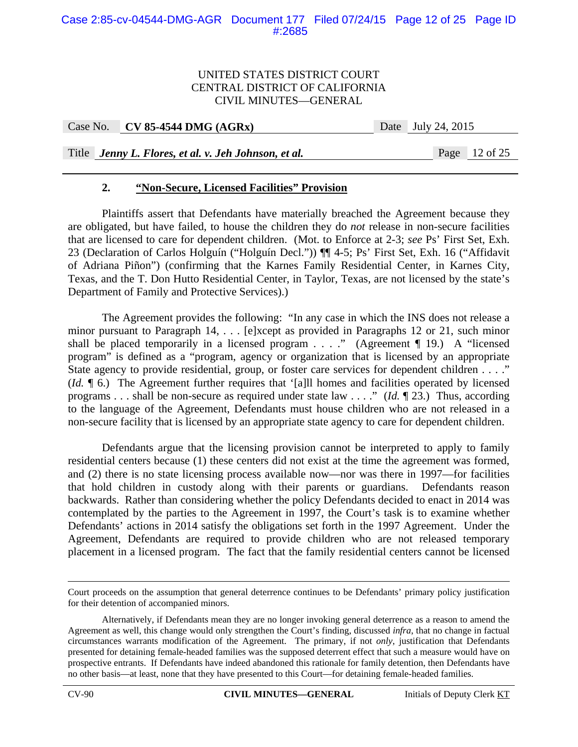| Case No. $CV 85-4544 DMG (AGRx)$ |
|----------------------------------|
|                                  |

Date July 24, 2015

Title *Jenny L. Flores, et al. v. Jeh Johnson, et al.* Page 12 of 25

## **2. "Non-Secure, Licensed Facilities" Provision**

Plaintiffs assert that Defendants have materially breached the Agreement because they are obligated, but have failed, to house the children they do *not* release in non-secure facilities that are licensed to care for dependent children. (Mot. to Enforce at 2-3; *see* Ps' First Set, Exh. 23 (Declaration of Carlos Holguín ("Holguín Decl.")) ¶¶ 4-5; Ps' First Set, Exh. 16 ("Affidavit of Adriana Piñon") (confirming that the Karnes Family Residential Center, in Karnes City, Texas, and the T. Don Hutto Residential Center, in Taylor, Texas, are not licensed by the state's Department of Family and Protective Services).)

The Agreement provides the following: "In any case in which the INS does not release a minor pursuant to Paragraph 14, . . . [e]xcept as provided in Paragraphs 12 or 21, such minor shall be placed temporarily in a licensed program  $\ldots$  ." (Agreement ¶ 19.) A "licensed program" is defined as a "program, agency or organization that is licensed by an appropriate State agency to provide residential, group, or foster care services for dependent children . . . ." (*Id.* ¶ 6.) The Agreement further requires that '[a]ll homes and facilities operated by licensed programs . . . shall be non-secure as required under state law . . . ." (*Id.* ¶ 23.) Thus, according to the language of the Agreement, Defendants must house children who are not released in a non-secure facility that is licensed by an appropriate state agency to care for dependent children.

Defendants argue that the licensing provision cannot be interpreted to apply to family residential centers because (1) these centers did not exist at the time the agreement was formed, and (2) there is no state licensing process available now—nor was there in 1997—for facilities that hold children in custody along with their parents or guardians. Defendants reason backwards. Rather than considering whether the policy Defendants decided to enact in 2014 was contemplated by the parties to the Agreement in 1997, the Court's task is to examine whether Defendants' actions in 2014 satisfy the obligations set forth in the 1997 Agreement. Under the Agreement, Defendants are required to provide children who are not released temporary placement in a licensed program. The fact that the family residential centers cannot be licensed

Court proceeds on the assumption that general deterrence continues to be Defendants' primary policy justification for their detention of accompanied minors.

Alternatively, if Defendants mean they are no longer invoking general deterrence as a reason to amend the Agreement as well, this change would only strengthen the Court's finding, discussed *infra*, that no change in factual circumstances warrants modification of the Agreement. The primary, if not *only*, justification that Defendants presented for detaining female-headed families was the supposed deterrent effect that such a measure would have on prospective entrants. If Defendants have indeed abandoned this rationale for family detention, then Defendants have no other basis—at least, none that they have presented to this Court—for detaining female-headed families.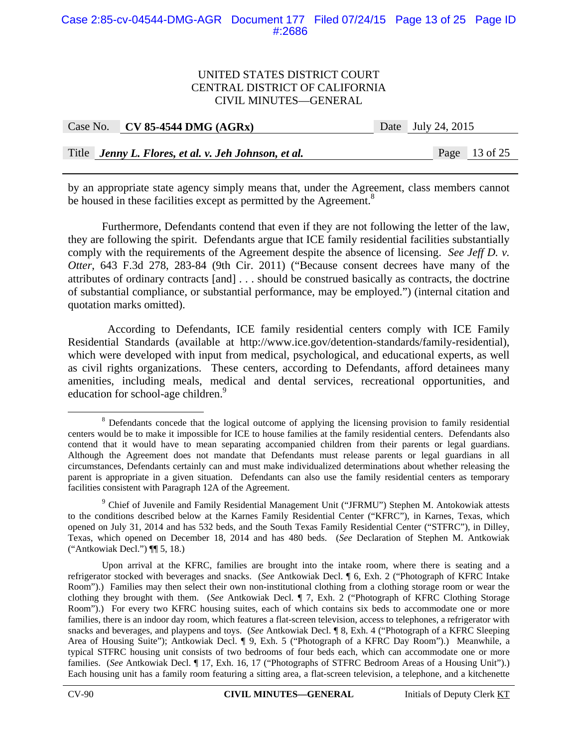## Case 2:85-cv-04544-DMG-AGR Document 177 Filed 07/24/15 Page 13 of 25 Page ID #:2686

#### UNITED STATES DISTRICT COURT CENTRAL DISTRICT OF CALIFORNIA CIVIL MINUTES—GENERAL

| Case No. CV 85-4544 DMG $(AGRx)$                     | Date July 24, 2015 |
|------------------------------------------------------|--------------------|
|                                                      |                    |
| Title Jenny L. Flores, et al. v. Jeh Johnson, et al. | Page 13 of 25      |

by an appropriate state agency simply means that, under the Agreement, class members cannot be housed in these facilities except as permitted by the Agreement.<sup>8</sup>

Furthermore, Defendants contend that even if they are not following the letter of the law, they are following the spirit. Defendants argue that ICE family residential facilities substantially comply with the requirements of the Agreement despite the absence of licensing. *See Jeff D. v. Otter*, 643 F.3d 278, 283-84 (9th Cir. 2011) ("Because consent decrees have many of the attributes of ordinary contracts [and] . . . should be construed basically as contracts, the doctrine of substantial compliance, or substantial performance, may be employed.") (internal citation and quotation marks omitted).

 According to Defendants, ICE family residential centers comply with ICE Family Residential Standards (available at http://www.ice.gov/detention-standards/family-residential), which were developed with input from medical, psychological, and educational experts, as well as civil rights organizations. These centers, according to Defendants, afford detainees many amenities, including meals, medical and dental services, recreational opportunities, and education for school-age children.<sup>9</sup>

 $\begin{array}{c|c}\n\hline\n\text{1} & \text{2} & \text{3} \\
\hline\n\text{2} & \text{3} & \text{4}\n\end{array}$ <sup>8</sup> Defendants concede that the logical outcome of applying the licensing provision to family residential centers would be to make it impossible for ICE to house families at the family residential centers. Defendants also contend that it would have to mean separating accompanied children from their parents or legal guardians. Although the Agreement does not mandate that Defendants must release parents or legal guardians in all circumstances, Defendants certainly can and must make individualized determinations about whether releasing the parent is appropriate in a given situation. Defendants can also use the family residential centers as temporary facilities consistent with Paragraph 12A of the Agreement.

 $9$  Chief of Juvenile and Family Residential Management Unit ("JFRMU") Stephen M. Antokowiak attests to the conditions described below at the Karnes Family Residential Center ("KFRC"), in Karnes, Texas, which opened on July 31, 2014 and has 532 beds, and the South Texas Family Residential Center ("STFRC"), in Dilley, Texas, which opened on December 18, 2014 and has 480 beds. (*See* Declaration of Stephen M. Antkowiak ("Antkowiak Decl.") ¶¶ 5, 18.)

Upon arrival at the KFRC, families are brought into the intake room, where there is seating and a refrigerator stocked with beverages and snacks. (*See* Antkowiak Decl. ¶ 6, Exh. 2 ("Photograph of KFRC Intake Room").) Families may then select their own non-institutional clothing from a clothing storage room or wear the clothing they brought with them. (*See* Antkowiak Decl. ¶ 7, Exh. 2 ("Photograph of KFRC Clothing Storage Room").) For every two KFRC housing suites, each of which contains six beds to accommodate one or more families, there is an indoor day room, which features a flat-screen television, access to telephones, a refrigerator with snacks and beverages, and playpens and toys. (*See* Antkowiak Decl. ¶ 8, Exh. 4 ("Photograph of a KFRC Sleeping Area of Housing Suite"); Antkowiak Decl. ¶ 9, Exh. 5 ("Photograph of a KFRC Day Room").) Meanwhile, a typical STFRC housing unit consists of two bedrooms of four beds each, which can accommodate one or more families. (*See* Antkowiak Decl. ¶ 17, Exh. 16, 17 ("Photographs of STFRC Bedroom Areas of a Housing Unit").) Each housing unit has a family room featuring a sitting area, a flat-screen television, a telephone, and a kitchenette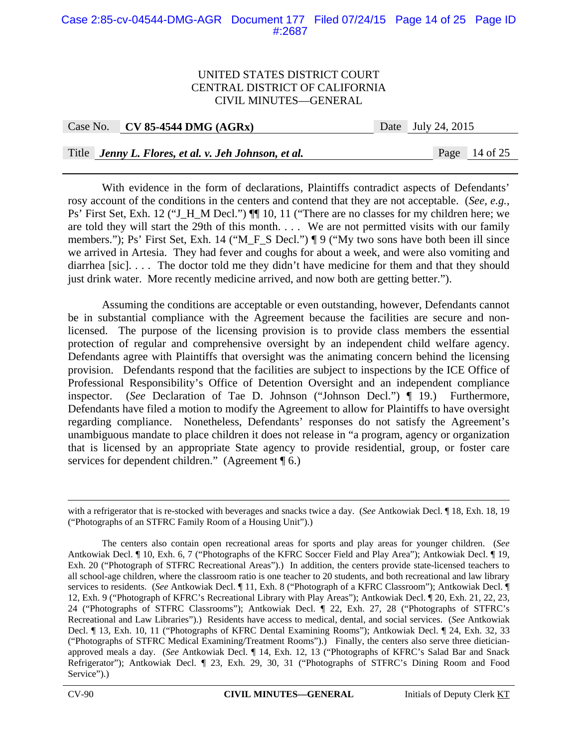## Case 2:85-cv-04544-DMG-AGR Document 177 Filed 07/24/15 Page 14 of 25 Page ID #:2687

#### UNITED STATES DISTRICT COURT CENTRAL DISTRICT OF CALIFORNIA CIVIL MINUTES—GENERAL

| Case No. | <b>CV 85-4544 DMG (AGRx)</b> |  |
|----------|------------------------------|--|
|----------|------------------------------|--|

Date July 24, 2015

Title *Jenny L. Flores, et al. v. Jeh Johnson, et al.* Page 14 of 25

With evidence in the form of declarations, Plaintiffs contradict aspects of Defendants' rosy account of the conditions in the centers and contend that they are not acceptable. (*See, e.g.*, Ps' First Set, Exh. 12 ("J\_H\_M Decl.")  $\P$  10, 11 ("There are no classes for my children here; we are told they will start the 29th of this month. . . . We are not permitted visits with our family members."); Ps' First Set, Exh. 14 ("M\_F\_S Decl.") ¶ 9 ("My two sons have both been ill since we arrived in Artesia. They had fever and coughs for about a week, and were also vomiting and diarrhea [sic]... The doctor told me they didn't have medicine for them and that they should just drink water. More recently medicine arrived, and now both are getting better.").

Assuming the conditions are acceptable or even outstanding, however, Defendants cannot be in substantial compliance with the Agreement because the facilities are secure and nonlicensed. The purpose of the licensing provision is to provide class members the essential protection of regular and comprehensive oversight by an independent child welfare agency. Defendants agree with Plaintiffs that oversight was the animating concern behind the licensing provision. Defendants respond that the facilities are subject to inspections by the ICE Office of Professional Responsibility's Office of Detention Oversight and an independent compliance inspector. (*See* Declaration of Tae D. Johnson ("Johnson Decl.") ¶ 19.) Furthermore, Defendants have filed a motion to modify the Agreement to allow for Plaintiffs to have oversight regarding compliance. Nonetheless, Defendants' responses do not satisfy the Agreement's unambiguous mandate to place children it does not release in "a program, agency or organization that is licensed by an appropriate State agency to provide residential, group, or foster care services for dependent children." (Agreement ¶ 6.)

with a refrigerator that is re-stocked with beverages and snacks twice a day. (*See* Antkowiak Decl. ¶ 18, Exh. 18, 19 ("Photographs of an STFRC Family Room of a Housing Unit").)

The centers also contain open recreational areas for sports and play areas for younger children. (*See*  Antkowiak Decl. ¶ 10, Exh. 6, 7 ("Photographs of the KFRC Soccer Field and Play Area"); Antkowiak Decl. ¶ 19, Exh. 20 ("Photograph of STFRC Recreational Areas").) In addition, the centers provide state-licensed teachers to all school-age children, where the classroom ratio is one teacher to 20 students, and both recreational and law library services to residents. (*See* Antkowiak Decl. ¶ 11, Exh. 8 ("Photograph of a KFRC Classroom"); Antkowiak Decl. ¶ 12, Exh. 9 ("Photograph of KFRC's Recreational Library with Play Areas"); Antkowiak Decl. ¶ 20, Exh. 21, 22, 23, 24 ("Photographs of STFRC Classrooms"); Antkowiak Decl. ¶ 22, Exh. 27, 28 ("Photographs of STFRC's Recreational and Law Libraries").) Residents have access to medical, dental, and social services. (*See* Antkowiak Decl. ¶ 13, Exh. 10, 11 ("Photographs of KFRC Dental Examining Rooms"); Antkowiak Decl. ¶ 24, Exh. 32, 33 ("Photographs of STFRC Medical Examining/Treatment Rooms").) Finally, the centers also serve three dieticianapproved meals a day. (*See* Antkowiak Decl. ¶ 14, Exh. 12, 13 ("Photographs of KFRC's Salad Bar and Snack Refrigerator"); Antkowiak Decl. ¶ 23, Exh. 29, 30, 31 ("Photographs of STFRC's Dining Room and Food Service").)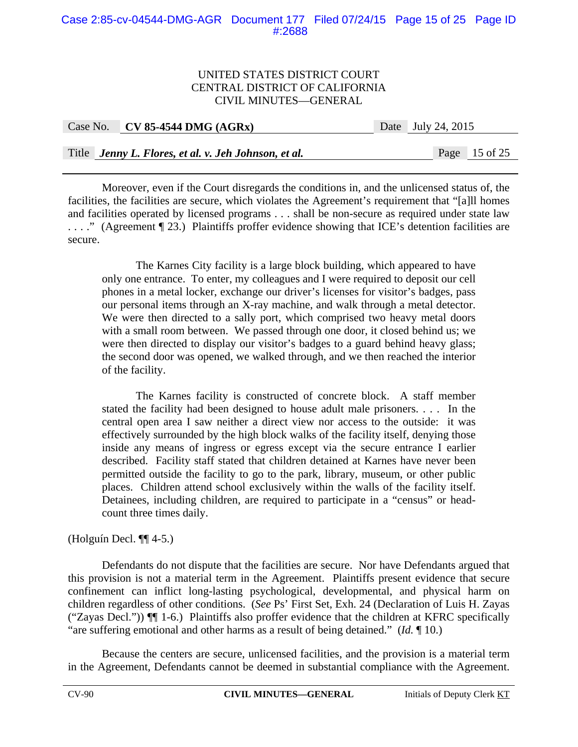## Case 2:85-cv-04544-DMG-AGR Document 177 Filed 07/24/15 Page 15 of 25 Page ID #:2688

### UNITED STATES DISTRICT COURT CENTRAL DISTRICT OF CALIFORNIA CIVIL MINUTES—GENERAL

| Case No. CV 85-4544 DMG $(AGRx)$                     | Date July 24, 2015 |  |
|------------------------------------------------------|--------------------|--|
|                                                      |                    |  |
| Title Jenny L. Flores, et al. v. Jeh Johnson, et al. | Page 15 of 25      |  |

Moreover, even if the Court disregards the conditions in, and the unlicensed status of, the facilities, the facilities are secure, which violates the Agreement's requirement that "[a]ll homes and facilities operated by licensed programs . . . shall be non-secure as required under state law . . . ." (Agreement ¶ 23.) Plaintiffs proffer evidence showing that ICE's detention facilities are secure.

The Karnes City facility is a large block building, which appeared to have only one entrance. To enter, my colleagues and I were required to deposit our cell phones in a metal locker, exchange our driver's licenses for visitor's badges, pass our personal items through an X-ray machine, and walk through a metal detector. We were then directed to a sally port, which comprised two heavy metal doors with a small room between. We passed through one door, it closed behind us; we were then directed to display our visitor's badges to a guard behind heavy glass; the second door was opened, we walked through, and we then reached the interior of the facility.

The Karnes facility is constructed of concrete block. A staff member stated the facility had been designed to house adult male prisoners. . . . In the central open area I saw neither a direct view nor access to the outside: it was effectively surrounded by the high block walks of the facility itself, denying those inside any means of ingress or egress except via the secure entrance I earlier described. Facility staff stated that children detained at Karnes have never been permitted outside the facility to go to the park, library, museum, or other public places. Children attend school exclusively within the walls of the facility itself. Detainees, including children, are required to participate in a "census" or headcount three times daily.

## (Holguín Decl. ¶¶ 4-5.)

Defendants do not dispute that the facilities are secure. Nor have Defendants argued that this provision is not a material term in the Agreement. Plaintiffs present evidence that secure confinement can inflict long-lasting psychological, developmental, and physical harm on children regardless of other conditions. (*See* Ps' First Set, Exh. 24 (Declaration of Luis H. Zayas ("Zayas Decl.")) ¶¶ 1-6.) Plaintiffs also proffer evidence that the children at KFRC specifically "are suffering emotional and other harms as a result of being detained." (*Id.* ¶ 10.)

Because the centers are secure, unlicensed facilities, and the provision is a material term in the Agreement, Defendants cannot be deemed in substantial compliance with the Agreement.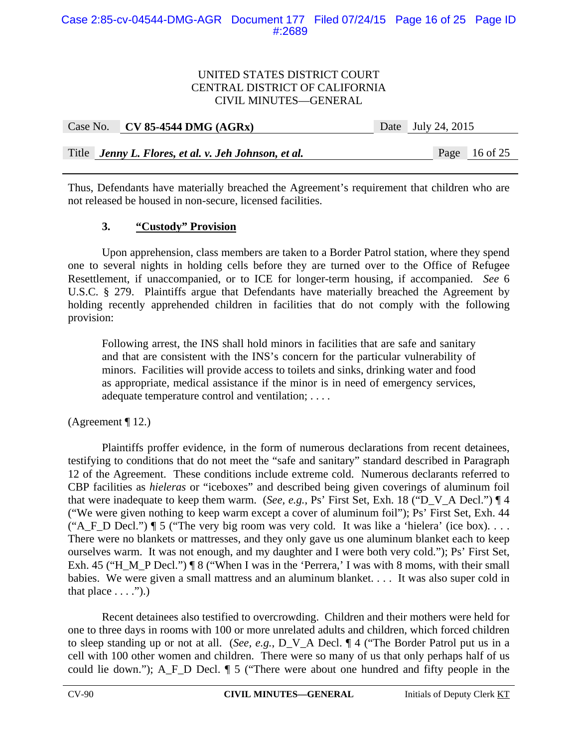| Case No. CV 85-4544 DMG $(AGRx)$                     | Date July 24, 2015 |               |  |
|------------------------------------------------------|--------------------|---------------|--|
|                                                      |                    |               |  |
| Title Jenny L. Flores, et al. v. Jeh Johnson, et al. |                    | Page 16 of 25 |  |

Thus, Defendants have materially breached the Agreement's requirement that children who are not released be housed in non-secure, licensed facilities.

## **3. "Custody" Provision**

Upon apprehension, class members are taken to a Border Patrol station, where they spend one to several nights in holding cells before they are turned over to the Office of Refugee Resettlement, if unaccompanied, or to ICE for longer-term housing, if accompanied. *See* 6 U.S.C. § 279. Plaintiffs argue that Defendants have materially breached the Agreement by holding recently apprehended children in facilities that do not comply with the following provision:

Following arrest, the INS shall hold minors in facilities that are safe and sanitary and that are consistent with the INS's concern for the particular vulnerability of minors. Facilities will provide access to toilets and sinks, drinking water and food as appropriate, medical assistance if the minor is in need of emergency services, adequate temperature control and ventilation; ...

(Agreement ¶ 12.)

Plaintiffs proffer evidence, in the form of numerous declarations from recent detainees, testifying to conditions that do not meet the "safe and sanitary" standard described in Paragraph 12 of the Agreement. These conditions include extreme cold. Numerous declarants referred to CBP facilities as *hieleras* or "iceboxes" and described being given coverings of aluminum foil that were inadequate to keep them warm. (*See, e.g.*, Ps' First Set, Exh. 18 ("D\_V\_A Decl.") ¶ 4 ("We were given nothing to keep warm except a cover of aluminum foil"); Ps' First Set, Exh. 44 ("A\_F\_D Decl.")  $\P$  5 ("The very big room was very cold. It was like a 'hielera' (ice box). . . . There were no blankets or mattresses, and they only gave us one aluminum blanket each to keep ourselves warm. It was not enough, and my daughter and I were both very cold."); Ps' First Set, Exh. 45 ("H\_M\_P Decl.") ¶ 8 ("When I was in the 'Perrera,' I was with 8 moms, with their small babies. We were given a small mattress and an aluminum blanket. . . . It was also super cold in that place  $\dots$ .").)

Recent detainees also testified to overcrowding. Children and their mothers were held for one to three days in rooms with 100 or more unrelated adults and children, which forced children to sleep standing up or not at all. (*See, e.g.*, D\_V\_A Decl. ¶ 4 ("The Border Patrol put us in a cell with 100 other women and children. There were so many of us that only perhaps half of us could lie down."); A\_F\_D Decl. ¶ 5 ("There were about one hundred and fifty people in the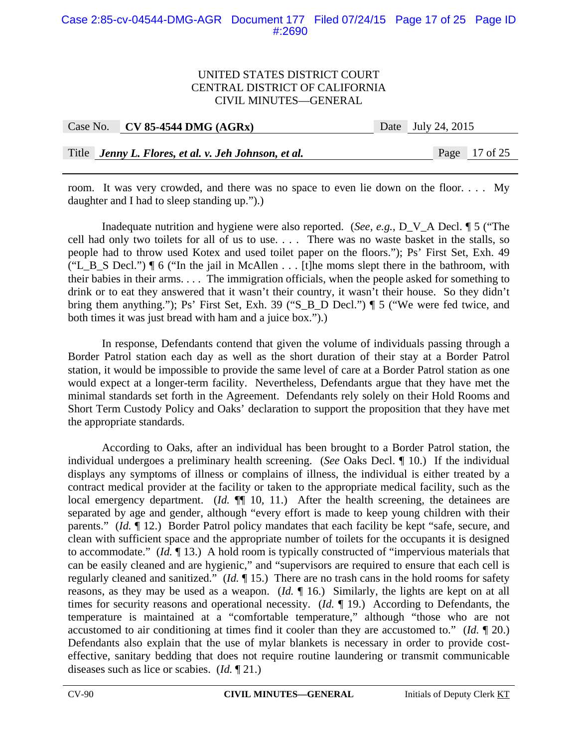### Case 2:85-cv-04544-DMG-AGR Document 177 Filed 07/24/15 Page 17 of 25 Page ID #:2690

#### UNITED STATES DISTRICT COURT CENTRAL DISTRICT OF CALIFORNIA CIVIL MINUTES—GENERAL

| Case No. $\vert$ CV 85-4544 DMG (AGRx)               | Date July 24, 2015 |                 |  |
|------------------------------------------------------|--------------------|-----------------|--|
|                                                      |                    |                 |  |
| Title Jenny L. Flores, et al. v. Jeh Johnson, et al. |                    | Page $17$ of 25 |  |

room. It was very crowded, and there was no space to even lie down on the floor. . . . My daughter and I had to sleep standing up.").)

Inadequate nutrition and hygiene were also reported. (*See, e.g.*, D\_V\_A Decl. ¶ 5 ("The cell had only two toilets for all of us to use. . . . There was no waste basket in the stalls, so people had to throw used Kotex and used toilet paper on the floors."); Ps' First Set, Exh. 49 ("L\_B\_S Decl.")  $\P$  6 ("In the jail in McAllen . . . [t]he moms slept there in the bathroom, with their babies in their arms. . . . The immigration officials, when the people asked for something to drink or to eat they answered that it wasn't their country, it wasn't their house. So they didn't bring them anything."); Ps' First Set, Exh. 39 ("S\_B\_D Decl.") ¶ 5 ("We were fed twice, and both times it was just bread with ham and a juice box.").)

In response, Defendants contend that given the volume of individuals passing through a Border Patrol station each day as well as the short duration of their stay at a Border Patrol station, it would be impossible to provide the same level of care at a Border Patrol station as one would expect at a longer-term facility. Nevertheless, Defendants argue that they have met the minimal standards set forth in the Agreement. Defendants rely solely on their Hold Rooms and Short Term Custody Policy and Oaks' declaration to support the proposition that they have met the appropriate standards.

According to Oaks, after an individual has been brought to a Border Patrol station, the individual undergoes a preliminary health screening. (*See* Oaks Decl. ¶ 10.) If the individual displays any symptoms of illness or complains of illness, the individual is either treated by a contract medical provider at the facility or taken to the appropriate medical facility, such as the local emergency department. (*Id.*  $\P$  10, 11.) After the health screening, the detainees are separated by age and gender, although "every effort is made to keep young children with their parents." *(Id.* 12.) Border Patrol policy mandates that each facility be kept "safe, secure, and clean with sufficient space and the appropriate number of toilets for the occupants it is designed to accommodate." (*Id.* ¶ 13.) A hold room is typically constructed of "impervious materials that can be easily cleaned and are hygienic," and "supervisors are required to ensure that each cell is regularly cleaned and sanitized." (*Id.* ¶ 15.) There are no trash cans in the hold rooms for safety reasons, as they may be used as a weapon. (*Id.* ¶ 16.) Similarly, the lights are kept on at all times for security reasons and operational necessity. (*Id.* ¶ 19.) According to Defendants, the temperature is maintained at a "comfortable temperature," although "those who are not accustomed to air conditioning at times find it cooler than they are accustomed to." (*Id.* ¶ 20.) Defendants also explain that the use of mylar blankets is necessary in order to provide costeffective, sanitary bedding that does not require routine laundering or transmit communicable diseases such as lice or scabies. (*Id.* ¶ 21.)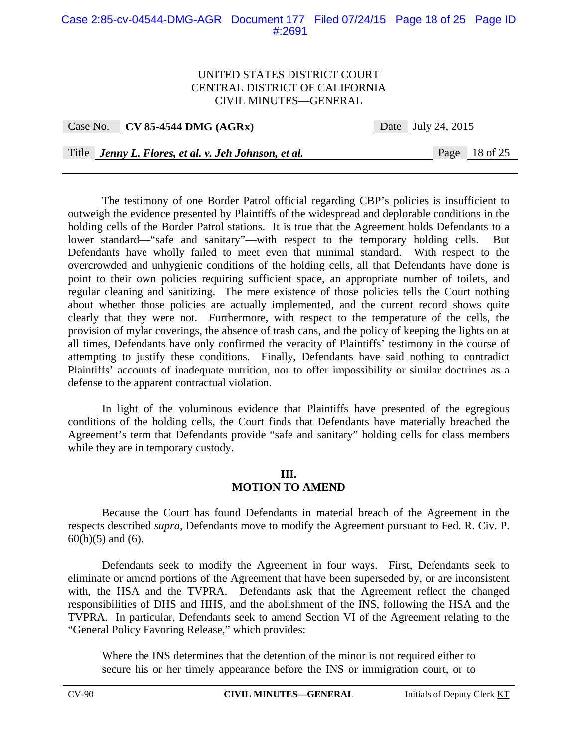## Case 2:85-cv-04544-DMG-AGR Document 177 Filed 07/24/15 Page 18 of 25 Page ID #:2691

#### UNITED STATES DISTRICT COURT CENTRAL DISTRICT OF CALIFORNIA CIVIL MINUTES—GENERAL

| Case No. CV 85-4544 DMG $(AGRx)$ | Date July 24, 2015 |
|----------------------------------|--------------------|
|                                  |                    |

Title *Jenny L. Flores, et al. v. Jeh Johnson, et al.* Page 18 of 25

The testimony of one Border Patrol official regarding CBP's policies is insufficient to outweigh the evidence presented by Plaintiffs of the widespread and deplorable conditions in the holding cells of the Border Patrol stations. It is true that the Agreement holds Defendants to a lower standard—"safe and sanitary"—with respect to the temporary holding cells. But Defendants have wholly failed to meet even that minimal standard. With respect to the overcrowded and unhygienic conditions of the holding cells, all that Defendants have done is point to their own policies requiring sufficient space, an appropriate number of toilets, and regular cleaning and sanitizing. The mere existence of those policies tells the Court nothing about whether those policies are actually implemented, and the current record shows quite clearly that they were not. Furthermore, with respect to the temperature of the cells, the provision of mylar coverings, the absence of trash cans, and the policy of keeping the lights on at all times, Defendants have only confirmed the veracity of Plaintiffs' testimony in the course of attempting to justify these conditions. Finally, Defendants have said nothing to contradict Plaintiffs' accounts of inadequate nutrition, nor to offer impossibility or similar doctrines as a defense to the apparent contractual violation.

In light of the voluminous evidence that Plaintiffs have presented of the egregious conditions of the holding cells, the Court finds that Defendants have materially breached the Agreement's term that Defendants provide "safe and sanitary" holding cells for class members while they are in temporary custody.

#### **III. MOTION TO AMEND**

 Because the Court has found Defendants in material breach of the Agreement in the respects described *supra*, Defendants move to modify the Agreement pursuant to Fed. R. Civ. P.  $60(b)(5)$  and  $(6)$ .

Defendants seek to modify the Agreement in four ways. First, Defendants seek to eliminate or amend portions of the Agreement that have been superseded by, or are inconsistent with, the HSA and the TVPRA. Defendants ask that the Agreement reflect the changed responsibilities of DHS and HHS, and the abolishment of the INS, following the HSA and the TVPRA. In particular, Defendants seek to amend Section VI of the Agreement relating to the "General Policy Favoring Release," which provides:

Where the INS determines that the detention of the minor is not required either to secure his or her timely appearance before the INS or immigration court, or to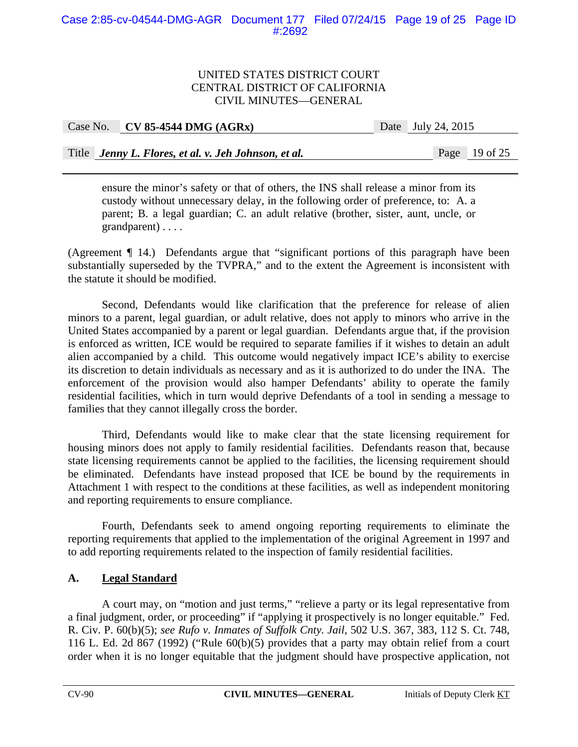| Case No. CV 85-4544 DMG $(AGRx)$ | Date July 24, 2015 |
|----------------------------------|--------------------|
|                                  |                    |

Title *Jenny L. Flores, et al. v. Jeh Johnson, et al.* Page 19 of 25

ensure the minor's safety or that of others, the INS shall release a minor from its custody without unnecessary delay, in the following order of preference, to: A. a parent; B. a legal guardian; C. an adult relative (brother, sister, aunt, uncle, or grandparent) . . . .

(Agreement ¶ 14.) Defendants argue that "significant portions of this paragraph have been substantially superseded by the TVPRA," and to the extent the Agreement is inconsistent with the statute it should be modified.

Second, Defendants would like clarification that the preference for release of alien minors to a parent, legal guardian, or adult relative, does not apply to minors who arrive in the United States accompanied by a parent or legal guardian. Defendants argue that, if the provision is enforced as written, ICE would be required to separate families if it wishes to detain an adult alien accompanied by a child. This outcome would negatively impact ICE's ability to exercise its discretion to detain individuals as necessary and as it is authorized to do under the INA. The enforcement of the provision would also hamper Defendants' ability to operate the family residential facilities, which in turn would deprive Defendants of a tool in sending a message to families that they cannot illegally cross the border.

Third, Defendants would like to make clear that the state licensing requirement for housing minors does not apply to family residential facilities. Defendants reason that, because state licensing requirements cannot be applied to the facilities, the licensing requirement should be eliminated. Defendants have instead proposed that ICE be bound by the requirements in Attachment 1 with respect to the conditions at these facilities, as well as independent monitoring and reporting requirements to ensure compliance.

Fourth, Defendants seek to amend ongoing reporting requirements to eliminate the reporting requirements that applied to the implementation of the original Agreement in 1997 and to add reporting requirements related to the inspection of family residential facilities.

## **A. Legal Standard**

A court may, on "motion and just terms," "relieve a party or its legal representative from a final judgment, order, or proceeding" if "applying it prospectively is no longer equitable." Fed. R. Civ. P. 60(b)(5); *see Rufo v. Inmates of Suffolk Cnty. Jail*, 502 U.S. 367, 383, 112 S. Ct. 748, 116 L. Ed. 2d 867 (1992) ("Rule 60(b)(5) provides that a party may obtain relief from a court order when it is no longer equitable that the judgment should have prospective application, not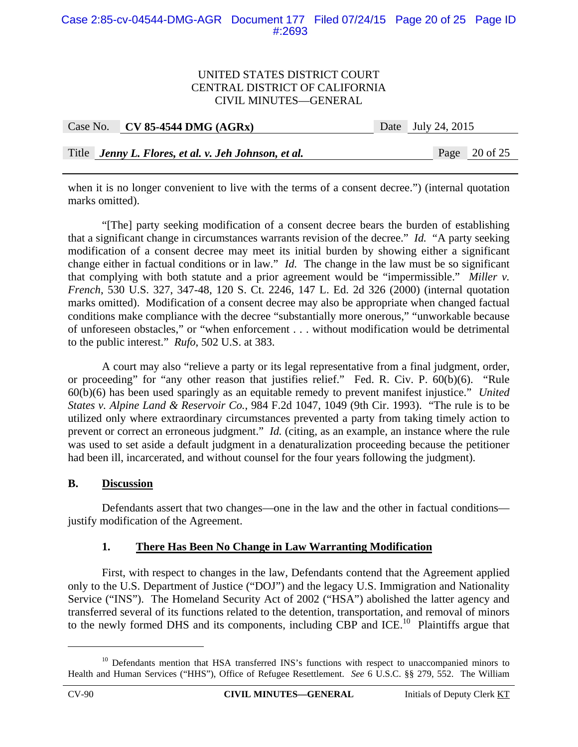### Case 2:85-cv-04544-DMG-AGR Document 177 Filed 07/24/15 Page 20 of 25 Page ID #:2693

#### UNITED STATES DISTRICT COURT CENTRAL DISTRICT OF CALIFORNIA CIVIL MINUTES—GENERAL

| Case No. CV 85-4544 DMG $(AGRx)$                     | Date July 24, 2015 |                 |
|------------------------------------------------------|--------------------|-----------------|
|                                                      |                    |                 |
| Title Jenny L. Flores, et al. v. Jeh Johnson, et al. |                    | Page $20$ of 25 |

when it is no longer convenient to live with the terms of a consent decree.") (internal quotation marks omitted).

"[The] party seeking modification of a consent decree bears the burden of establishing that a significant change in circumstances warrants revision of the decree." *Id.* "A party seeking modification of a consent decree may meet its initial burden by showing either a significant change either in factual conditions or in law." *Id.* The change in the law must be so significant that complying with both statute and a prior agreement would be "impermissible." *Miller v. French*, 530 U.S. 327, 347-48, 120 S. Ct. 2246, 147 L. Ed. 2d 326 (2000) (internal quotation marks omitted). Modification of a consent decree may also be appropriate when changed factual conditions make compliance with the decree "substantially more onerous," "unworkable because of unforeseen obstacles," or "when enforcement . . . without modification would be detrimental to the public interest." *Rufo*, 502 U.S. at 383.

A court may also "relieve a party or its legal representative from a final judgment, order, or proceeding" for "any other reason that justifies relief." Fed. R. Civ. P. 60(b)(6). "Rule 60(b)(6) has been used sparingly as an equitable remedy to prevent manifest injustice." *United States v. Alpine Land & Reservoir Co.*, 984 F.2d 1047, 1049 (9th Cir. 1993). "The rule is to be utilized only where extraordinary circumstances prevented a party from taking timely action to prevent or correct an erroneous judgment." *Id.* (citing, as an example, an instance where the rule was used to set aside a default judgment in a denaturalization proceeding because the petitioner had been ill, incarcerated, and without counsel for the four years following the judgment).

#### **B. Discussion**

 Defendants assert that two changes—one in the law and the other in factual conditions justify modification of the Agreement.

## **1. There Has Been No Change in Law Warranting Modification**

First, with respect to changes in the law, Defendants contend that the Agreement applied only to the U.S. Department of Justice ("DOJ") and the legacy U.S. Immigration and Nationality Service ("INS"). The Homeland Security Act of 2002 ("HSA") abolished the latter agency and transferred several of its functions related to the detention, transportation, and removal of minors to the newly formed DHS and its components, including CBP and ICE.<sup>10</sup> Plaintiffs argue that

1

<sup>&</sup>lt;sup>10</sup> Defendants mention that HSA transferred INS's functions with respect to unaccompanied minors to Health and Human Services ("HHS"), Office of Refugee Resettlement. *See* 6 U.S.C. §§ 279, 552. The William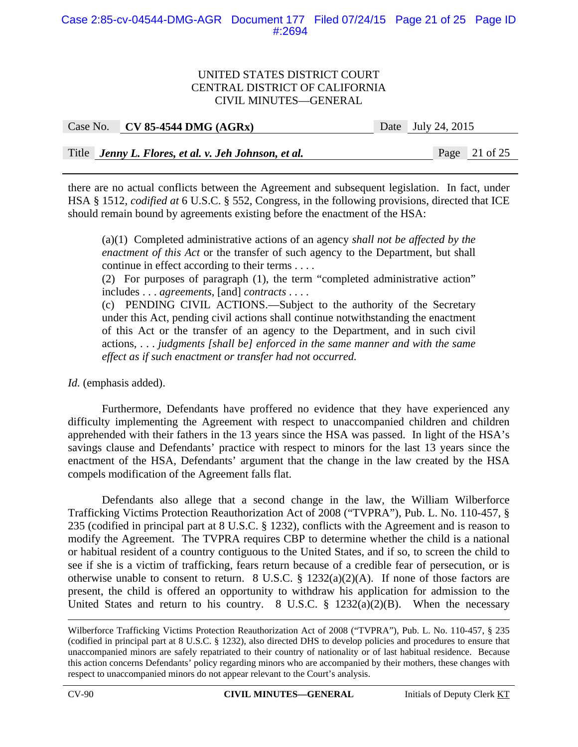## Case 2:85-cv-04544-DMG-AGR Document 177 Filed 07/24/15 Page 21 of 25 Page ID #:2694

#### UNITED STATES DISTRICT COURT CENTRAL DISTRICT OF CALIFORNIA CIVIL MINUTES—GENERAL

| Case No. CV 85-4544 DMG $(AGRx)$                     | Date July 24, 2015 |                 |
|------------------------------------------------------|--------------------|-----------------|
|                                                      |                    |                 |
| Title Jenny L. Flores, et al. v. Jeh Johnson, et al. |                    | Page $21$ of 25 |

there are no actual conflicts between the Agreement and subsequent legislation. In fact, under HSA § 1512, *codified at* 6 U.S.C. § 552, Congress, in the following provisions, directed that ICE should remain bound by agreements existing before the enactment of the HSA:

(a)(1) Completed administrative actions of an agency *shall not be affected by the enactment of this Act* or the transfer of such agency to the Department, but shall continue in effect according to their terms . . . .

(2) For purposes of paragraph (1), the term "completed administrative action" includes . . . *agreements*, [and] *contracts* . . . .

(c) PENDING CIVIL ACTIONS.—Subject to the authority of the Secretary under this Act, pending civil actions shall continue notwithstanding the enactment of this Act or the transfer of an agency to the Department, and in such civil actions, . . . *judgments [shall be] enforced in the same manner and with the same effect as if such enactment or transfer had not occurred.*

*Id.* (emphasis added).

 Furthermore, Defendants have proffered no evidence that they have experienced any difficulty implementing the Agreement with respect to unaccompanied children and children apprehended with their fathers in the 13 years since the HSA was passed. In light of the HSA's savings clause and Defendants' practice with respect to minors for the last 13 years since the enactment of the HSA, Defendants' argument that the change in the law created by the HSA compels modification of the Agreement falls flat.

Defendants also allege that a second change in the law, the William Wilberforce Trafficking Victims Protection Reauthorization Act of 2008 ("TVPRA"), Pub. L. No. 110-457, § 235 (codified in principal part at 8 U.S.C. § 1232), conflicts with the Agreement and is reason to modify the Agreement. The TVPRA requires CBP to determine whether the child is a national or habitual resident of a country contiguous to the United States, and if so, to screen the child to see if she is a victim of trafficking, fears return because of a credible fear of persecution, or is otherwise unable to consent to return. 8 U.S.C.  $\S$  1232(a)(2)(A). If none of those factors are present, the child is offered an opportunity to withdraw his application for admission to the United States and return to his country. 8 U.S.C.  $\S$  1232(a)(2)(B). When the necessary

 Wilberforce Trafficking Victims Protection Reauthorization Act of 2008 ("TVPRA"), Pub. L. No. 110-457, § 235 (codified in principal part at 8 U.S.C. § 1232), also directed DHS to develop policies and procedures to ensure that unaccompanied minors are safely repatriated to their country of nationality or of last habitual residence. Because this action concerns Defendants' policy regarding minors who are accompanied by their mothers, these changes with respect to unaccompanied minors do not appear relevant to the Court's analysis.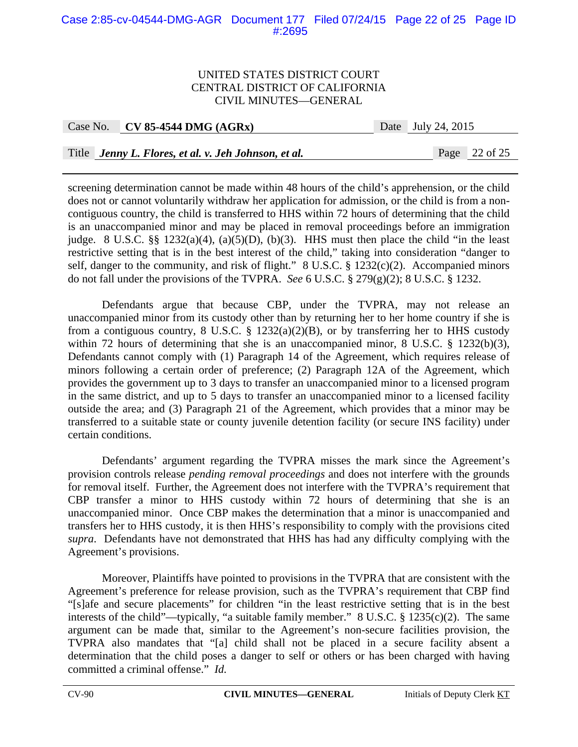## Case 2:85-cv-04544-DMG-AGR Document 177 Filed 07/24/15 Page 22 of 25 Page ID #:2695

#### UNITED STATES DISTRICT COURT CENTRAL DISTRICT OF CALIFORNIA CIVIL MINUTES—GENERAL

| Case No. $\vert$ CV 85-4544 DMG (AGRx)               | Date July 24, 2015 |                 |
|------------------------------------------------------|--------------------|-----------------|
|                                                      |                    |                 |
| Title Jenny L. Flores, et al. v. Jeh Johnson, et al. |                    | Page $22$ of 25 |

screening determination cannot be made within 48 hours of the child's apprehension, or the child does not or cannot voluntarily withdraw her application for admission, or the child is from a noncontiguous country, the child is transferred to HHS within 72 hours of determining that the child is an unaccompanied minor and may be placed in removal proceedings before an immigration judge. 8 U.S.C.  $\S\S$  1232(a)(4), (a)(5)(D), (b)(3). HHS must then place the child "in the least restrictive setting that is in the best interest of the child," taking into consideration "danger to self, danger to the community, and risk of flight." 8 U.S.C. § 1232(c)(2). Accompanied minors do not fall under the provisions of the TVPRA. *See* 6 U.S.C. § 279(g)(2); 8 U.S.C. § 1232.

Defendants argue that because CBP, under the TVPRA, may not release an unaccompanied minor from its custody other than by returning her to her home country if she is from a contiguous country, 8 U.S.C. § 1232(a)(2)(B), or by transferring her to HHS custody within 72 hours of determining that she is an unaccompanied minor, 8 U.S.C. § 1232(b)(3), Defendants cannot comply with (1) Paragraph 14 of the Agreement, which requires release of minors following a certain order of preference; (2) Paragraph 12A of the Agreement, which provides the government up to 3 days to transfer an unaccompanied minor to a licensed program in the same district, and up to 5 days to transfer an unaccompanied minor to a licensed facility outside the area; and (3) Paragraph 21 of the Agreement, which provides that a minor may be transferred to a suitable state or county juvenile detention facility (or secure INS facility) under certain conditions.

Defendants' argument regarding the TVPRA misses the mark since the Agreement's provision controls release *pending removal proceedings* and does not interfere with the grounds for removal itself. Further, the Agreement does not interfere with the TVPRA's requirement that CBP transfer a minor to HHS custody within 72 hours of determining that she is an unaccompanied minor. Once CBP makes the determination that a minor is unaccompanied and transfers her to HHS custody, it is then HHS's responsibility to comply with the provisions cited *supra*. Defendants have not demonstrated that HHS has had any difficulty complying with the Agreement's provisions.

Moreover, Plaintiffs have pointed to provisions in the TVPRA that are consistent with the Agreement's preference for release provision, such as the TVPRA's requirement that CBP find "[s]afe and secure placements" for children "in the least restrictive setting that is in the best interests of the child"—typically, "a suitable family member." 8 U.S.C. § 1235(c)(2). The same argument can be made that, similar to the Agreement's non-secure facilities provision, the TVPRA also mandates that "[a] child shall not be placed in a secure facility absent a determination that the child poses a danger to self or others or has been charged with having committed a criminal offense." *Id.*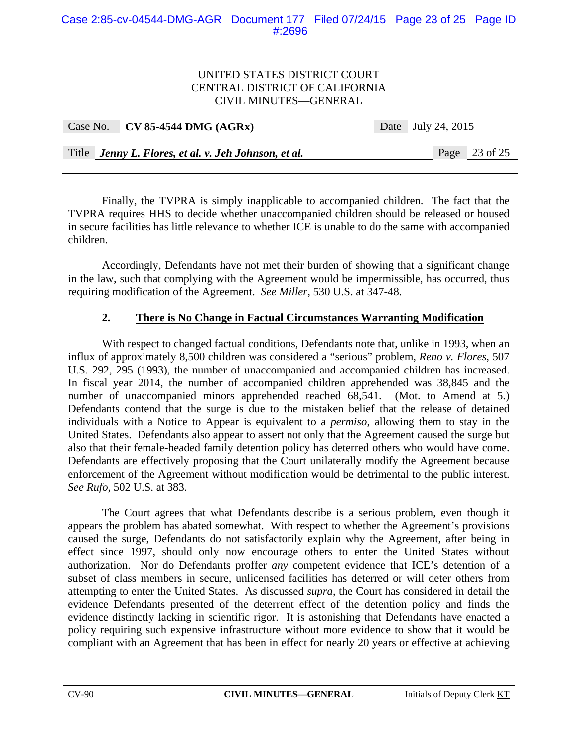| Case No. $\vert$ CV 85-4544 DMG (AGRx)               | Date July 24, 2015 |  |
|------------------------------------------------------|--------------------|--|
|                                                      |                    |  |
| Title Jenny L. Flores, et al. v. Jeh Johnson, et al. | Page 23 of 25      |  |

Finally, the TVPRA is simply inapplicable to accompanied children. The fact that the TVPRA requires HHS to decide whether unaccompanied children should be released or housed in secure facilities has little relevance to whether ICE is unable to do the same with accompanied children.

Accordingly, Defendants have not met their burden of showing that a significant change in the law, such that complying with the Agreement would be impermissible, has occurred, thus requiring modification of the Agreement. *See Miller*, 530 U.S. at 347-48.

## **2. There is No Change in Factual Circumstances Warranting Modification**

With respect to changed factual conditions, Defendants note that, unlike in 1993, when an influx of approximately 8,500 children was considered a "serious" problem, *Reno v. Flores*, 507 U.S. 292, 295 (1993), the number of unaccompanied and accompanied children has increased. In fiscal year 2014, the number of accompanied children apprehended was 38,845 and the number of unaccompanied minors apprehended reached 68,541. (Mot. to Amend at 5.) Defendants contend that the surge is due to the mistaken belief that the release of detained individuals with a Notice to Appear is equivalent to a *permiso*, allowing them to stay in the United States. Defendants also appear to assert not only that the Agreement caused the surge but also that their female-headed family detention policy has deterred others who would have come. Defendants are effectively proposing that the Court unilaterally modify the Agreement because enforcement of the Agreement without modification would be detrimental to the public interest. *See Rufo*, 502 U.S. at 383.

The Court agrees that what Defendants describe is a serious problem, even though it appears the problem has abated somewhat. With respect to whether the Agreement's provisions caused the surge, Defendants do not satisfactorily explain why the Agreement, after being in effect since 1997, should only now encourage others to enter the United States without authorization. Nor do Defendants proffer *any* competent evidence that ICE's detention of a subset of class members in secure, unlicensed facilities has deterred or will deter others from attempting to enter the United States. As discussed *supra*, the Court has considered in detail the evidence Defendants presented of the deterrent effect of the detention policy and finds the evidence distinctly lacking in scientific rigor. It is astonishing that Defendants have enacted a policy requiring such expensive infrastructure without more evidence to show that it would be compliant with an Agreement that has been in effect for nearly 20 years or effective at achieving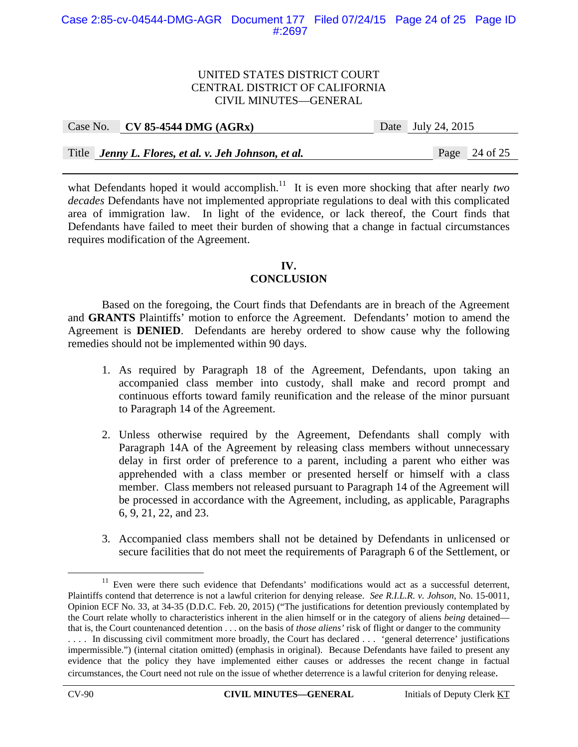|  | Case No. CV 85-4544 DMG $(AGRx)$                     | Date July 24, 2015 |               |
|--|------------------------------------------------------|--------------------|---------------|
|  |                                                      |                    |               |
|  | Title Jenny L. Flores, et al. v. Jeh Johnson, et al. |                    | Page 24 of 25 |

what Defendants hoped it would accomplish.<sup>11</sup> It is even more shocking that after nearly *two decades* Defendants have not implemented appropriate regulations to deal with this complicated area of immigration law. In light of the evidence, or lack thereof, the Court finds that Defendants have failed to meet their burden of showing that a change in factual circumstances requires modification of the Agreement.

## **IV. CONCLUSION**

 Based on the foregoing, the Court finds that Defendants are in breach of the Agreement and **GRANTS** Plaintiffs' motion to enforce the Agreement. Defendants' motion to amend the Agreement is **DENIED**. Defendants are hereby ordered to show cause why the following remedies should not be implemented within 90 days.

- 1. As required by Paragraph 18 of the Agreement, Defendants, upon taking an accompanied class member into custody, shall make and record prompt and continuous efforts toward family reunification and the release of the minor pursuant to Paragraph 14 of the Agreement.
- 2. Unless otherwise required by the Agreement, Defendants shall comply with Paragraph 14A of the Agreement by releasing class members without unnecessary delay in first order of preference to a parent, including a parent who either was apprehended with a class member or presented herself or himself with a class member. Class members not released pursuant to Paragraph 14 of the Agreement will be processed in accordance with the Agreement, including, as applicable, Paragraphs 6, 9, 21, 22, and 23.
- 3. Accompanied class members shall not be detained by Defendants in unlicensed or secure facilities that do not meet the requirements of Paragraph 6 of the Settlement, or

<sup>&</sup>lt;sup>11</sup> Even were there such evidence that Defendants' modifications would act as a successful deterrent, Plaintiffs contend that deterrence is not a lawful criterion for denying release. *See R.I.L.R. v. Johson*, No. 15-0011, Opinion ECF No. 33, at 34-35 (D.D.C. Feb. 20, 2015) ("The justifications for detention previously contemplated by the Court relate wholly to characteristics inherent in the alien himself or in the category of aliens *being* detained that is, the Court countenanced detention . . . on the basis of *those aliens'* risk of flight or danger to the community .... In discussing civil commitment more broadly, the Court has declared ... <sup>f</sup>general deterrence' justifications impermissible.") (internal citation omitted) (emphasis in original). Because Defendants have failed to present any evidence that the policy they have implemented either causes or addresses the recent change in factual circumstances, the Court need not rule on the issue of whether deterrence is a lawful criterion for denying release.